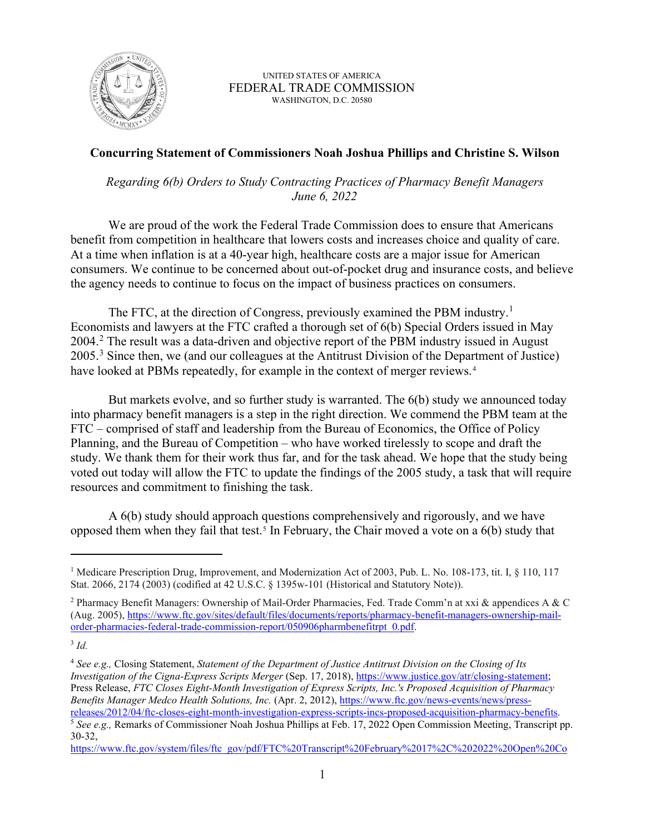

UNITED STATES OF AMERICA FEDERAL TRADE COMMISSION WASHINGTON, D.C. 20580

## **Concurring Statement of Commissioners Noah Joshua Phillips and Christine S. Wilson**

*Regarding 6(b) Orders to Study Contracting Practices of Pharmacy Benefit Managers June 6, 2022*

We are proud of the work the Federal Trade Commission does to ensure that Americans benefit from competition in healthcare that lowers costs and increases choice and quality of care. At a time when inflation is at a 40-year high, healthcare costs are a major issue for American consumers. We continue to be concerned about out-of-pocket drug and insurance costs, and believe the agency needs to continue to focus on the impact of business practices on consumers.

The FTC, at the direction of Congress, previously examined the PBM industry.<sup>[1](#page-0-0)</sup> Economists and lawyers at the FTC crafted a thorough set of 6(b) Special Orders issued in May [2](#page-0-1)004.<sup>2</sup> The result was a data-driven and objective report of the PBM industry issued in August 2005.<sup>[3](#page-0-2)</sup> Since then, we (and our colleagues at the Antitrust Division of the Department of Justice) have looked at PBMs repeatedly, for example in the context of merger reviews.<sup>[4](#page-0-3)</sup>

But markets evolve, and so further study is warranted. The 6(b) study we announced today into pharmacy benefit managers is a step in the right direction. We commend the PBM team at the FTC – comprised of staff and leadership from the Bureau of Economics, the Office of Policy Planning, and the Bureau of Competition – who have worked tirelessly to scope and draft the study. We thank them for their work thus far, and for the task ahead. We hope that the study being voted out today will allow the FTC to update the findings of the 2005 study, a task that will require resources and commitment to finishing the task.

A 6(b) study should approach questions comprehensively and rigorously, and we have opposed them when they fail that test.<sup>[5](#page-0-4)</sup> In February, the Chair moved a vote on a  $6(b)$  study that

<span id="page-0-0"></span><sup>&</sup>lt;sup>1</sup> Medicare Prescription Drug, Improvement, and Modernization Act of 2003, Pub. L. No. 108-173, tit. I,  $\S$  110, 117 Stat. 2066, 2174 (2003) (codified at 42 U.S.C. § 1395w-101 (Historical and Statutory Note)).

<span id="page-0-1"></span><sup>2</sup> Pharmacy Benefit Managers: Ownership of Mail-Order Pharmacies, Fed. Trade Comm'n at xxi & appendices A & C (Aug. 2005), [https://www.ftc.gov/sites/default/files/documents/reports/pharmacy-benefit-managers-ownership-mail](https://www.ftc.gov/sites/default/files/documents/reports/pharmacy-benefit-managers-ownership-mail-order-pharmacies-federal-trade-commission-report/050906pharmbenefitrpt_0.pdf)[order-pharmacies-federal-trade-commission-report/050906pharmbenefitrpt\\_0.pdf.](https://www.ftc.gov/sites/default/files/documents/reports/pharmacy-benefit-managers-ownership-mail-order-pharmacies-federal-trade-commission-report/050906pharmbenefitrpt_0.pdf) 

<span id="page-0-2"></span><sup>3</sup> *Id.*

<span id="page-0-3"></span><sup>4</sup> *See e.g.,* Closing Statement, *Statement of the Department of Justice Antitrust Division on the Closing of Its Investigation of the Cigna-Express Scripts Merger* (Sep. 17, 2018), [https://www.justice.gov/atr/closing-statement;](https://www.justice.gov/atr/closing-statement) Press Release, *FTC Closes Eight-Month Investigation of Express Scripts, Inc.'s Proposed Acquisition of Pharmacy Benefits Manager Medco Health Solutions, Inc.* (Apr. 2, 2012), https://www.ftc.gov/news-events/news/press-<br>releases/2012/04/ftc-closes-eight-month-investigation-express-scripts-incs-proposed-acquisition-pharmacy-benefits.

<span id="page-0-4"></span><sup>&</sup>lt;sup>5</sup> See e.g., Remarks of Commissioner Noah Joshua Phillips at Feb. 17, 2022 Open Commission Meeting, Transcript pp. 30-32,

[https://www.ftc.gov/system/files/ftc\\_gov/pdf/FTC%20Transcript%20February%2017%2C%202022%20Open%20Co](https://www.ftc.gov/system/files/ftc_gov/pdf/FTC%20Transcript%20February%2017%2C%202022%20Open%20Commission%20Meeting.pdf)